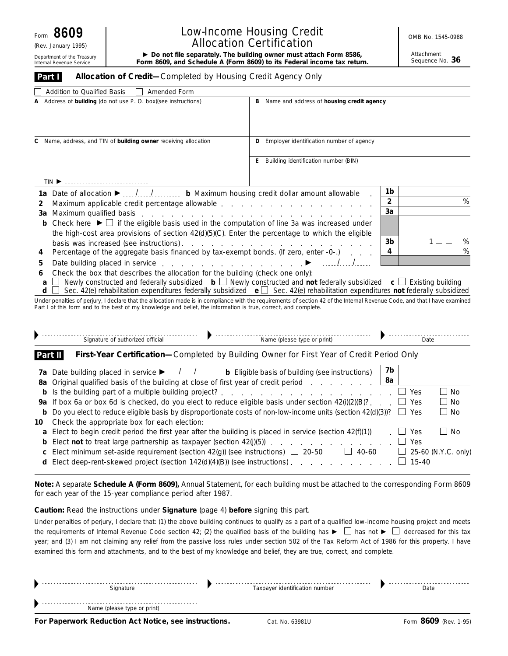(Rev. January 1995)

Internal Revenue Service

# Low-Income Housing Credit **No. 1545-0988** No. 1545-0988 Allocation Certification<br>Do not file separately. The building owner must attach Form 8586,

Department of the Treasury **Form 8609, and Schedule A (Form 8609) to its Federal income tax return.** Prother the Treasury **Form 8609, and Schedule A (Form 8609) to its Federal income tax return.** Prother the Sequence No.

Attachment<br>Sequence No. 36

| Addition to Qualified Basis<br>    Amended Form                                                                                                                                                                                                                                                       |                                                   |                                 |  |
|-------------------------------------------------------------------------------------------------------------------------------------------------------------------------------------------------------------------------------------------------------------------------------------------------------|---------------------------------------------------|---------------------------------|--|
| Address of <b>building</b> (do not use P. O. box)(see instructions)<br>А                                                                                                                                                                                                                              | B Name and address of housing credit agency       |                                 |  |
| C Name, address, and TIN of building owner receiving allocation                                                                                                                                                                                                                                       | <b>D</b> Employer identification number of agency |                                 |  |
|                                                                                                                                                                                                                                                                                                       | E Building identification number (BIN)            |                                 |  |
|                                                                                                                                                                                                                                                                                                       |                                                   |                                 |  |
| 1a Date of allocation ▶ // b Maximum housing credit dollar amount allowable                                                                                                                                                                                                                           |                                                   | 1b                              |  |
| Maximum applicable credit percentage allowable expansion and an expansion of the state of the state of the state of the state of the state of the state of the state of the state of the state of the state of the state of th<br>2                                                                   |                                                   | $\overline{\mathbf{c}}$<br>$\%$ |  |
| 3a                                                                                                                                                                                                                                                                                                    |                                                   | 3a                              |  |
| Check here $\blacktriangleright \Box$ if the eligible basis used in the computation of line 3a was increased under<br>b                                                                                                                                                                               |                                                   |                                 |  |
| the high-cost area provisions of section 42(d)(5)(C). Enter the percentage to which the eligible                                                                                                                                                                                                      |                                                   |                                 |  |
|                                                                                                                                                                                                                                                                                                       |                                                   | 3b<br>%                         |  |
| Percentage of the aggregate basis financed by tax-exempt bonds. (If zero, enter -0-.)<br>4                                                                                                                                                                                                            | %<br>4                                            |                                 |  |
|                                                                                                                                                                                                                                                                                                       |                                                   |                                 |  |
| Check the box that describes the allocation for the building (check one only):<br>6                                                                                                                                                                                                                   |                                                   |                                 |  |
| Newly constructed and federally subsidized $\mathbf{b} \Box$ Newly constructed and not federally subsidized $\mathbf{c} \Box$ Existing building<br>a<br>Sec. 42(e) rehabilitation expenditures federally subsidized $\mathbf{e}$ Sec. 42(e) rehabilitation expenditures not federally subsidized<br>d |                                                   |                                 |  |
| Under penalties of perjury, I declare that the allocation made is in compliance with the requirements of section 42 of the Internal Revenue Code, and that I have examined<br>Part I of this form and to the best of my knowledge and belief, the information is true, correct, and complete.         |                                                   |                                 |  |
|                                                                                                                                                                                                                                                                                                       |                                                   |                                 |  |
| Signature of authorized official                                                                                                                                                                                                                                                                      |                                                   | <br>Date                        |  |
| First-Year Certification-Completed by Building Owner for First Year of Credit Period Only<br>Part II                                                                                                                                                                                                  |                                                   |                                 |  |
|                                                                                                                                                                                                                                                                                                       |                                                   |                                 |  |

| 8a                                                                                                                                                   |                            |
|------------------------------------------------------------------------------------------------------------------------------------------------------|----------------------------|
| Yes                                                                                                                                                  | l I No                     |
| 9a If box 6a or box 6d is checked, do you elect to reduce eligible basis under section $42\left(\frac{1}{2}\right)\left(\frac{B}{2}\right)$<br>l Yes | $\vert$ No                 |
| <b>b</b> Do you elect to reduce eligible basis by disproportionate costs of non-low-income units (section $42(d)(3)$ )? $\Box$ Yes                   | $\Box$ No                  |
| 10 Check the appropriate box for each election:                                                                                                      |                            |
| <b>a</b> Elect to begin credit period the first year after the building is placed in service (section $42(f)(1)$ )<br>l Yes                          | l I No                     |
| l l Yes<br><b>b</b> Elect <b>not</b> to treat large partnership as taxpayer (section $42(j)(5)$ ).                                                   |                            |
| $\mathbf{1}$<br><b>c</b> Elect minimum set-aside requirement (section $42(g)$ ) (see instructions) $\Box$ 20-50<br>40-60                             | $\Box$ 25-60 (N.Y.C. only) |
| <b>d</b> Elect deep-rent-skewed project (section $142(d)(4)(B)$ ) (see instructions)                                                                 | $15 - 40$                  |
|                                                                                                                                                      |                            |

**Note:** *A separate Schedule A (Form 8609), Annual Statement, for each building must be attached to the corresponding Form 8609 for each year of the 15-year compliance period after 1987.*

### **Caution:** *Read the instructions under Signature (page 4) before signing this part.*

Under penalties of perjury, I declare that: (1) the above building continues to qualify as a part of a qualified low-income housing project and meets the requirements of Internal Revenue Code section 42; (2) the qualified basis of the building has  $\blacktriangleright \Box$  has not  $\blacktriangleright \Box$  decreased for this tax year; and (3) I am not claiming any relief from the passive loss rules under section 502 of the Tax Reform Act of 1986 for this property. I have examined this form and attachments, and to the best of my knowledge and belief, they are true, correct, and complete.

| $\overline{\phantom{0}}$<br>$\overline{\phantom{a}}$ | .<br>.                      |                                | $\sim$ $\sim$ $\sim$ |
|------------------------------------------------------|-----------------------------|--------------------------------|----------------------|
|                                                      | Name (please type or print) |                                |                      |
|                                                      |                             |                                |                      |
|                                                      | Signature                   | Taxpayer identification number | Date                 |
|                                                      |                             |                                |                      |

**For Paperwork Reduction Act Notice, see instructions.** Cat. No. 63981U Form 8609 (Rev. 1-95)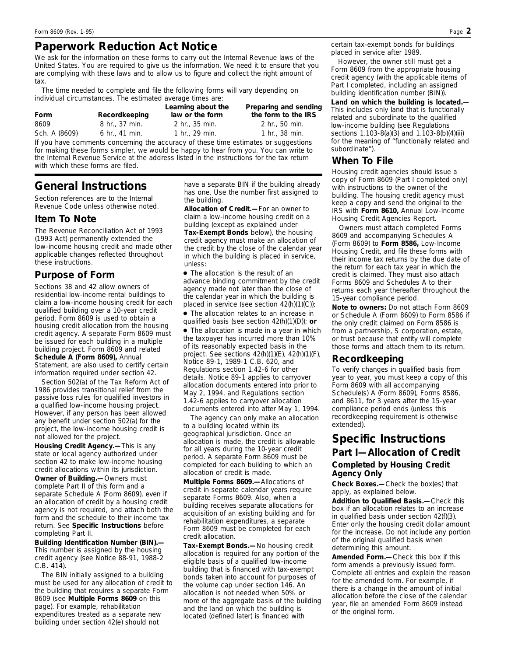## **Paperwork Reduction Act Notice**

We ask for the information on these forms to carry out the Internal Revenue laws of the United States. You are required to give us the information. We need it to ensure that you are complying with these laws and to allow us to figure and collect the right amount of tax.

The time needed to complete and file the following forms will vary depending on individual circumstances. The estimated average times are:

| Form          | Recordkeeping              | Learning about the<br>law or the form | Preparing and sending<br>the form to the IRS |
|---------------|----------------------------|---------------------------------------|----------------------------------------------|
| 8609          | $8 \; \text{hr}$ . 37 min. | 2 hr., 35 min.                        | 2 hr., 50 min.                               |
| Sch. A (8609) | 6 hr., 41 min.             | 1 hr., 29 min.                        | 1 hr., $38 \text{ min}$ .                    |
|               |                            |                                       |                                              |

If you have comments concerning the accuracy of these time estimates or suggestions for making these forms simpler, we would be happy to hear from you. You can write to the Internal Revenue Service at the address listed in the instructions for the tax return with which these forms are filed.

# **General Instructions**

*Section references are to the Internal Revenue Code unless otherwise noted.*

#### **Item To Note**

The Revenue Reconciliation Act of 1993 (1993 Act) permanently extended the low-income housing credit and made other applicable changes reflected throughout these instructions.

### **Purpose of Form**

Sections 38 and 42 allow owners of residential low-income rental buildings to claim a low-income housing credit for each qualified building over a 10-year credit period. Form 8609 is used to obtain a housing credit allocation from the housing credit agency. A separate Form 8609 must be issued for each building in a multiple building project. Form 8609 and related **Schedule A (Form 8609),** Annual Statement, are also used to certify certain Information required under section 42.<br>
To verify changes in qualified basis from information required under section 42.

Section 502(a) of the Tax Reform Act of 1986 provides transitional relief from the passive loss rules for qualified investors in a qualified low-income housing project. However, if any person has been allowed any benefit under section 502(a) for the project, the low-income housing credit is not allowed for the project.

**Housing Credit Agency.—**This is any state or local agency authorized under section 42 to make low-income housing credit allocations within its jurisdiction.

**Owner of Building.—**Owners must complete Part II of this form and a separate Schedule A (Form 8609), even if an allocation of credit by a housing credit agency is not required, and attach both the form and the schedule to their income tax return. See **Specific Instructions** before completing Part II.

**Building Identification Number (BIN).—** This number is assigned by the housing credit agency (see Notice 88-91, 1988-2 C.B. 414).

The BIN initially assigned to a building must be used for any allocation of credit to the building that requires a separate Form 8609 (see **Multiple Forms 8609** on this page). For example, rehabilitation expenditures treated as a separate new building under section 42(e) should not

have a separate BIN if the building already has one. Use the number first assigned to the building.

**Allocation of Credit.—**For an owner to claim a low-income housing credit on a building (except as explained under **Tax-Exempt Bonds** below), the housing credit agency must make an allocation of the credit by the close of the calendar year in which the building is placed in service, unless:

● The allocation is the result of an advance binding commitment by the credit agency made not later than the close of the calendar year in which the building is placed in service (see section 42(h)(1)(C));

● The allocation relates to an increase in qualified basis (see section 42(h)(1)(D)); **or**

• The allocation is made in a year in which the taxpayer has incurred more than 10% of its reasonably expected basis in the project. See sections 42(h)(1)(E), 42(h)(1)(F), Notice 89-1, 1989-1 C.B. 620, and Regulations section 1.42-6 for other details. Notice 89-1 applies to carryover allocation documents entered into prior to May 2, 1994, and Regulations section 1.42-6 applies to carryover allocation documents entered into after May 1, 1994.

The agency can only make an allocation to a building located within its geographical jurisdiction. Once an allocation is made, the credit is allowable for all years during the 10-year credit period. A separate Form 8609 must be completed for each building to which an allocation of credit is made.

**Multiple Forms 8609.—**Allocations of credit in separate calendar years require separate Forms 8609. Also, when a building receives separate allocations for acquisition of an existing building and for rehabilitation expenditures, a separate Form 8609 must be completed for each credit allocation.

**Tax-Exempt Bonds.—**No housing credit allocation is required for any portion of the eligible basis of a qualified low-income building that is financed with tax-exempt bonds taken into account for purposes of the volume cap under section 146. An allocation is not needed when 50% or more of the aggregate basis of the building and the land on which the building is located (defined later) is financed with

certain tax-exempt bonds for buildings placed in service after 1989.

However, the owner still must get a Form 8609 from the appropriate housing credit agency (with the applicable items of Part I completed, including an assigned building identification number (BIN)).

**Land on which the building is located.**— This includes only land that is functionally related and subordinate to the qualified low-income building (see Regulations sections 1.103-8(a)(3) and 1.103-8(b)(4)(iii) for the meaning of "functionally related and subordinate").

#### **When To File**

Housing credit agencies should issue a copy of Form 8609 (Part I completed only) with instructions to the owner of the building. The housing credit agency must keep a copy and send the original to the IRS with **Form 8610,** Annual Low-Income Housing Credit Agencies Report.

Owners must attach completed Forms 8609 and accompanying Schedules A (Form 8609) to **Form 8586,** Low-Income Housing Credit, and file these forms with their income tax returns by the due date of the return for each tax year in which the credit is claimed. They must also attach Forms 8609 and Schedules A to their returns each year thereafter throughout the 15-year compliance period.

**Note to owners:** *Do not attach Form 8609 or Schedule A (Form 8609) to Form 8586 if the only credit claimed on Form 8586 is from a partnership, S corporation, estate, or trust because that entity will complete those forms and attach them to its return.*

#### **Recordkeeping**

year to year, you must keep a copy of this Form 8609 with all accompanying Schedule(s) A (Form 8609), Forms 8586, and 8611, for 3 years after the 15-year compliance period ends (unless this recordkeeping requirement is otherwise extended).

## **Specific Instructions Part I—Allocation of Credit Completed by Housing Credit Agency Only**

**Check Boxes.—**Check the box(es) that apply, as explained below.

**Addition to Qualified Basis.—**Check this box if an allocation relates to an increase in qualified basis under section 42(f)(3). Enter only the housing credit dollar amount for the increase. Do not include any portion of the original qualified basis when determining this amount.

**Amended Form.—**Check this box if this form amends a previously issued form. Complete all entries and explain the reason for the amended form. For example, if there is a change in the amount of initial allocation before the close of the calendar year, file an amended Form 8609 instead of the original form.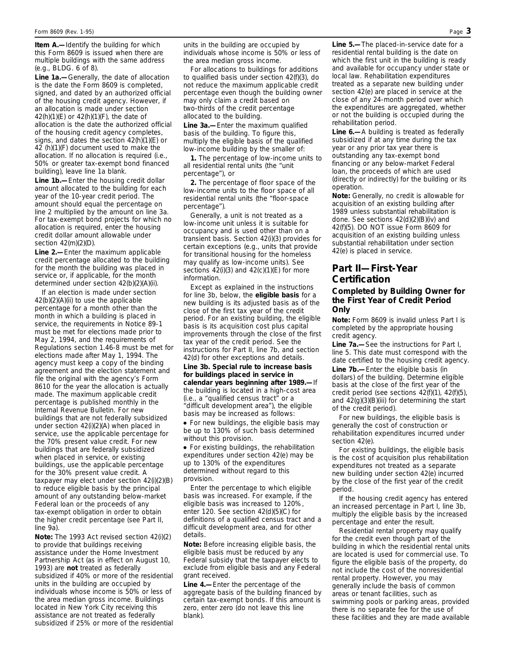**Item A.—Identify the building for which** this Form 8609 is issued when there are multiple buildings with the same address (e.g., BLDG. 6 of 8).

**Line 1a.—**Generally, the date of allocation is the date the Form 8609 is completed, signed, and dated by an authorized official of the housing credit agency. However, if an allocation is made under section 42(h)(1)(E) or 42(h)(1)(F), the date of allocation is the date the authorized official of the housing credit agency completes, signs, and dates the section 42(h)(1)(E) or 42 (h)(1)(F) document used to make the allocation. If no allocation is required (i.e., 50% or greater tax-exempt bond financed building), leave line 1a blank.

**Line 1b.—**Enter the housing credit dollar amount allocated to the building for each year of the 10-year credit period. The amount should equal the percentage on line 2 multiplied by the amount on line 3a. For tax-exempt bond projects for which no allocation is required, enter the housing credit dollar amount allowable under section 42(m)(2)(D).

**Line 2.—**Enter the maximum applicable credit percentage allocated to the building for the month the building was placed in service or, if applicable, for the month determined under section 42(b)(2)(A)(ii).

If an election is made under section 42(b)(2)(A)(ii) to use the applicable percentage for a month other than the month in which a building is placed in service, the requirements in Notice 89-1 must be met for elections made prior to May 2, 1994, and the requirements of Regulations section 1.46-8 must be met for elections made after May 1, 1994. The agency must keep a copy of the binding agreement and the election statement and file the original with the agency's Form 8610 for the year the allocation is actually made. The maximum applicable credit percentage is published monthly in the Internal Revenue Bulletin. For new buildings that are not federally subsidized under section 42(i)(2)(A) when placed in service, use the applicable percentage for the 70% present value credit. For new buildings that are federally subsidized when placed in service, or existing buildings, use the applicable percentage for the 30% present value credit. A taxpayer may elect under section 42(i)(2)(B) to reduce eligible basis by the principal amount of any outstanding below-market Federal loan or the proceeds of any tax-exempt obligation in order to obtain the higher credit percentage (see Part II, line 9a).

**Note:** *The 1993 Act revised section 42(i)(2) to provide that buildings receiving assistance under the Home Investment Partnership Act (as in effect on August 10, 1993) are not treated as federally subsidized if 40% or more of the residential units in the building are occupied by individuals whose income is 50% or less of the area median gross income. Buildings located in New York City receiving this assistance are not treated as federally subsidized if 25% or more of the residential* *units in the building are occupied by individuals whose income is 50% or less of the area median gross income.*

For allocations to buildings for additions to qualified basis under section 42(f)(3), do not reduce the maximum applicable credit percentage even though the building owner may only claim a credit based on two-thirds of the credit percentage allocated to the building.

**Line 3a.—**Enter the maximum qualified basis of the building. To figure this, multiply the eligible basis of the qualified low-income building by the smaller of:

**1.** The percentage of low-income units to all residential rental units (the "unit percentage"), or

**2.** The percentage of floor space of the low-income units to the floor space of all residential rental units (the "floor-space percentage").

Generally, a unit is not treated as a low-income unit unless it is suitable for occupancy and is used other than on a transient basis. Section 42(i)(3) provides for certain exceptions (e.g., units that provide for transitional housing for the homeless may qualify as low-income units). See sections  $42(i)(3)$  and  $42(c)(1)(E)$  for more information.

Except as explained in the instructions for line 3b, below, the **eligible basis** for a new building is its adjusted basis as of the close of the first tax year of the credit period. For an existing building, the eligible basis is its acquisition cost plus capital improvements through the close of the first tax year of the credit period. See the instructions for Part II, line 7b, and section 42(d) for other exceptions and details.

**Line 3b. Special rule to increase basis for buildings placed in service in calendar years beginning after 1989.—**If the building is located in a high-cost area (i.e., a "qualified census tract" or a "difficult development area"), the eligible basis may be increased as follows:

● For new buildings, the eligible basis may be up to 130% of such basis determined without this provision.

● For existing buildings, the rehabilitation expenditures under section 42(e) may be up to 130% of the expenditures determined without regard to this provision.

Enter the percentage to which eligible basis was increased. For example, if the eligible basis was increased to 120%, enter 120. See section 42(d)(5)(C) for definitions of a qualified census tract and a difficult development area, and for other details.

**Note:** *Before increasing eligible basis, the eligible basis must be reduced by any Federal subsidy that the taxpayer elects to exclude from eligible basis and any Federal grant received.*

**Line 4.—**Enter the percentage of the aggregate basis of the building financed by certain tax-exempt bonds. If this amount is zero, enter zero (do not leave this line blank).

**Line 5.—**The placed-in-service date for a residential rental building is the date on which the first unit in the building is ready and available for occupancy under state or local law. Rehabilitation expenditures treated as a separate new building under section 42(e) are placed in service at the close of any 24-month period over which the expenditures are aggregated, whether or not the building is occupied during the rehabilitation period.

**Line 6.—**A building is treated as federally subsidized if at any time during the tax year or any prior tax year there is outstanding any tax-exempt bond financing or any below-market Federal loan, the proceeds of which are used (directly or indirectly) for the building or its operation.

**Note:** *Generally, no credit is allowable for acquisition of an existing building after 1989 unless substantial rehabilitation is done. See sections 42(d)(2)(B)(iv) and 42(f)(5). DO NOT issue Form 8609 for acquisition of an existing building unless substantial rehabilitation under section 42(e) is placed in service.*

#### **Part II—First-Year Certification**

#### **Completed by Building Owner for the First Year of Credit Period Only**

**Note:** *Form 8609 is invalid unless Part I is completed by the appropriate housing credit agency.*

**Line 7a.—**See the instructions for Part I, line 5. This date must correspond with the date certified to the housing credit agency. **Line 7b.—**Enter the eligible basis (in dollars) of the building. Determine eligible basis at the close of the first year of the credit period (see sections 42(f)(1), 42(f)(5), and 42(g)(3)(B)(iii) for determining the start of the credit period).

For new buildings, the eligible basis is generally the cost of construction or rehabilitation expenditures incurred under section 42(e).

For existing buildings, the eligible basis is the cost of acquisition plus rehabilitation expenditures not treated as a separate new building under section 42(e) incurred by the close of the first year of the credit period.

If the housing credit agency has entered an increased percentage in Part I, line 3b, multiply the eligible basis by the increased percentage and enter the result.

Residential rental property may qualify for the credit even though part of the building in which the residential rental units are located is used for commercial use. To figure the eligible basis of the property, do not include the cost of the nonresidential rental property. However, you may generally include the basis of common areas or tenant facilities, such as swimming pools or parking areas, provided there is no separate fee for the use of these facilities and they are made available